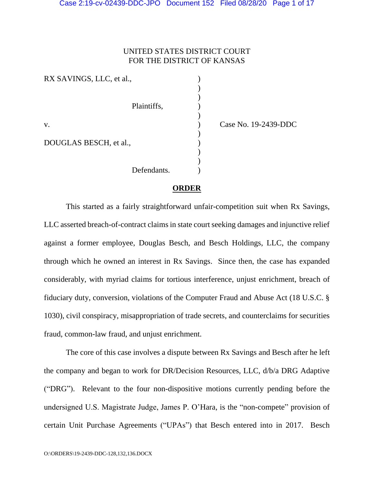# UNITED STATES DISTRICT COURT FOR THE DISTRICT OF KANSAS

) )

)

)

) )

RX SAVINGS, LLC, et al., Plaintiffs,  $\qquad \qquad$ ) v. ) Case No. 19-2439-DDC DOUGLAS BESCH, et al., Defendants.

## **ORDER**

This started as a fairly straightforward unfair-competition suit when Rx Savings, LLC asserted breach-of-contract claims in state court seeking damages and injunctive relief against a former employee, Douglas Besch, and Besch Holdings, LLC, the company through which he owned an interest in Rx Savings. Since then, the case has expanded considerably, with myriad claims for tortious interference, unjust enrichment, breach of fiduciary duty, conversion, violations of the Computer Fraud and Abuse Act (18 U.S.C. § 1030), civil conspiracy, misappropriation of trade secrets, and counterclaims for securities fraud, common-law fraud, and unjust enrichment.

The core of this case involves a dispute between Rx Savings and Besch after he left the company and began to work for DR/Decision Resources, LLC, d/b/a DRG Adaptive ("DRG"). Relevant to the four non-dispositive motions currently pending before the undersigned U.S. Magistrate Judge, James P. O'Hara, is the "non-compete" provision of certain Unit Purchase Agreements ("UPAs") that Besch entered into in 2017. Besch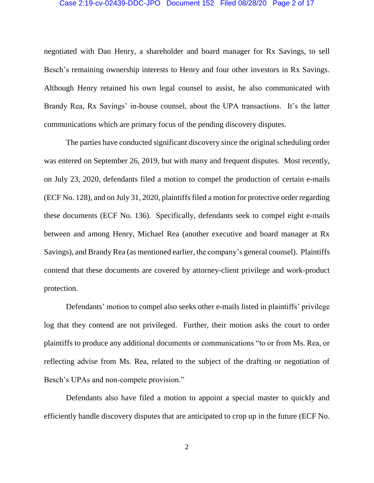#### Case 2:19-cv-02439-DDC-JPO Document 152 Filed 08/28/20 Page 2 of 17

negotiated with Dan Henry, a shareholder and board manager for Rx Savings, to sell Besch's remaining ownership interests to Henry and four other investors in Rx Savings. Although Henry retained his own legal counsel to assist, he also communicated with Brandy Rea, Rx Savings' in-house counsel, about the UPA transactions. It's the latter communications which are primary focus of the pending discovery disputes.

The parties have conducted significant discovery since the original scheduling order was entered on September 26, 2019, but with many and frequent disputes. Most recently, on July 23, 2020, defendants filed a motion to compel the production of certain e-mails (ECF No. 128), and on July 31, 2020, plaintiffs filed a motion for protective order regarding these documents (ECF No. 136). Specifically, defendants seek to compel eight e-mails between and among Henry, Michael Rea (another executive and board manager at Rx Savings), and Brandy Rea (as mentioned earlier, the company's general counsel). Plaintiffs contend that these documents are covered by attorney-client privilege and work-product protection.

Defendants' motion to compel also seeks other e-mails listed in plaintiffs' privilege log that they contend are not privileged. Further, their motion asks the court to order plaintiffs to produce any additional documents or communications "to or from Ms. Rea, or reflecting advise from Ms. Rea, related to the subject of the drafting or negotiation of Besch's UPAs and non-compete provision."

Defendants also have filed a motion to appoint a special master to quickly and efficiently handle discovery disputes that are anticipated to crop up in the future (ECF No.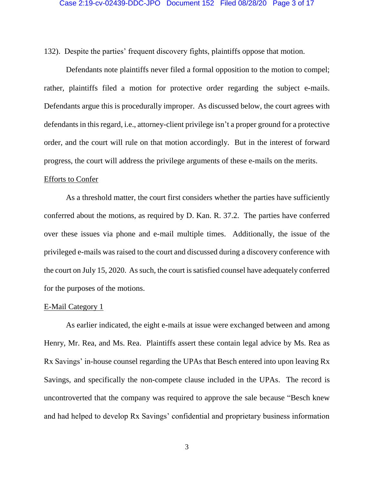132). Despite the parties' frequent discovery fights, plaintiffs oppose that motion.

Defendants note plaintiffs never filed a formal opposition to the motion to compel; rather, plaintiffs filed a motion for protective order regarding the subject e-mails. Defendants argue this is procedurally improper. As discussed below, the court agrees with defendants in this regard, i.e., attorney-client privilege isn't a proper ground for a protective order, and the court will rule on that motion accordingly. But in the interest of forward progress, the court will address the privilege arguments of these e-mails on the merits.

### Efforts to Confer

As a threshold matter, the court first considers whether the parties have sufficiently conferred about the motions, as required by D. Kan. R. 37.2. The parties have conferred over these issues via phone and e-mail multiple times. Additionally, the issue of the privileged e-mails was raised to the court and discussed during a discovery conference with the court on July 15, 2020. As such, the court is satisfied counsel have adequately conferred for the purposes of the motions.

## E-Mail Category 1

As earlier indicated, the eight e-mails at issue were exchanged between and among Henry, Mr. Rea, and Ms. Rea. Plaintiffs assert these contain legal advice by Ms. Rea as Rx Savings' in-house counsel regarding the UPAs that Besch entered into upon leaving Rx Savings, and specifically the non-compete clause included in the UPAs. The record is uncontroverted that the company was required to approve the sale because "Besch knew and had helped to develop Rx Savings' confidential and proprietary business information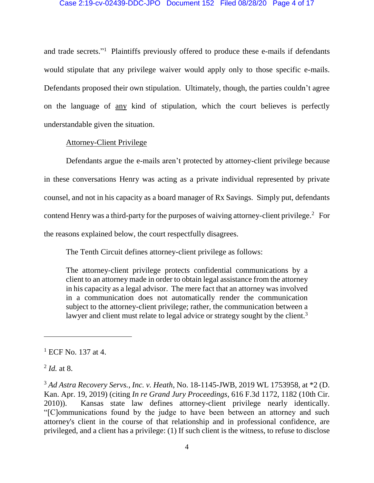## Case 2:19-cv-02439-DDC-JPO Document 152 Filed 08/28/20 Page 4 of 17

and trade secrets." <sup>1</sup> Plaintiffs previously offered to produce these e-mails if defendants would stipulate that any privilege waiver would apply only to those specific e-mails. Defendants proposed their own stipulation. Ultimately, though, the parties couldn't agree on the language of any kind of stipulation, which the court believes is perfectly understandable given the situation.

# Attorney-Client Privilege

Defendants argue the e-mails aren't protected by attorney-client privilege because in these conversations Henry was acting as a private individual represented by private counsel, and not in his capacity as a board manager of Rx Savings. Simply put, defendants contend Henry was a third-party for the purposes of waiving attorney-client privilege. $2$  For the reasons explained below, the court respectfully disagrees.

The Tenth Circuit defines attorney-client privilege as follows:

The attorney-client privilege protects confidential communications by a client to an attorney made in order to obtain legal assistance from the attorney in his capacity as a legal advisor. The mere fact that an attorney was involved in a communication does not automatically render the communication subject to the attorney-client privilege; rather, the communication between a lawyer and client must relate to legal advice or strategy sought by the client.<sup>3</sup>

2 *Id.* at 8.

 $\overline{a}$ 

<sup>3</sup> *Ad Astra Recovery Servs., Inc. v. Heath*, No. 18-1145-JWB, 2019 WL 1753958, at \*2 (D. Kan. Apr. 19, 2019) (citing *In re Grand Jury Proceedings*, 616 F.3d 1172, 1182 (10th Cir. 2010)). Kansas state law defines attorney-client privilege nearly identically. "[C]ommunications found by the judge to have been between an attorney and such attorney's client in the course of that relationship and in professional confidence, are privileged, and a client has a privilege: (1) If such client is the witness, to refuse to disclose

<sup>&</sup>lt;sup>1</sup> ECF No. 137 at 4.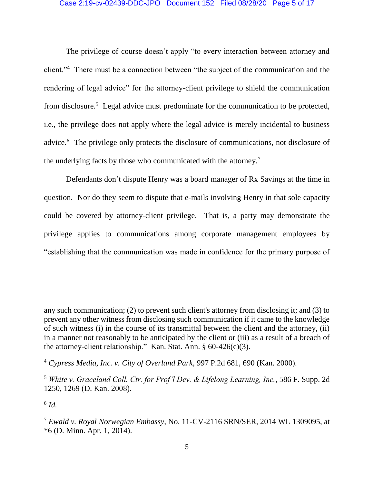## Case 2:19-cv-02439-DDC-JPO Document 152 Filed 08/28/20 Page 5 of 17

The privilege of course doesn't apply "to every interaction between attorney and client."<sup>4</sup> There must be a connection between "the subject of the communication and the rendering of legal advice" for the attorney-client privilege to shield the communication from disclosure.<sup>5</sup> Legal advice must predominate for the communication to be protected, i.e., the privilege does not apply where the legal advice is merely incidental to business advice.<sup>6</sup> The privilege only protects the disclosure of communications, not disclosure of the underlying facts by those who communicated with the attorney.<sup>7</sup>

Defendants don't dispute Henry was a board manager of Rx Savings at the time in question. Nor do they seem to dispute that e-mails involving Henry in that sole capacity could be covered by attorney-client privilege. That is, a party may demonstrate the privilege applies to communications among corporate management employees by "establishing that the communication was made in confidence for the primary purpose of

6 *Id.*

any such communication; (2) to prevent such client's attorney from disclosing it; and (3) to prevent any other witness from disclosing such communication if it came to the knowledge of such witness (i) in the course of its transmittal between the client and the attorney, (ii) in a manner not reasonably to be anticipated by the client or (iii) as a result of a breach of the attorney-client relationship." Kan. Stat. Ann.  $\S$  60-426(c)(3).

<sup>4</sup> *Cypress Media, Inc. v. City of Overland Park*, 997 P.2d 681, 690 (Kan. 2000).

<sup>5</sup> *White v. Graceland Coll. Ctr. for Prof'l Dev. & Lifelong Learning, Inc.*, 586 F. Supp. 2d 1250, 1269 (D. Kan. 2008).

<sup>7</sup> *Ewald v. Royal Norwegian Embassy*, No. 11-CV-2116 SRN/SER, 2014 WL 1309095, at \*6 (D. Minn. Apr. 1, 2014).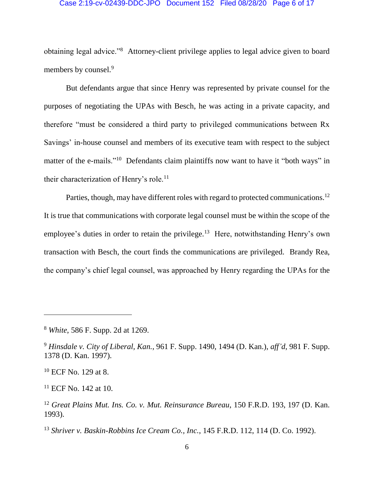## Case 2:19-cv-02439-DDC-JPO Document 152 Filed 08/28/20 Page 6 of 17

obtaining legal advice."<sup>8</sup> Attorney-client privilege applies to legal advice given to board members by counsel.<sup>9</sup>

But defendants argue that since Henry was represented by private counsel for the purposes of negotiating the UPAs with Besch, he was acting in a private capacity, and therefore "must be considered a third party to privileged communications between Rx Savings' in-house counsel and members of its executive team with respect to the subject matter of the e-mails."<sup>10</sup> Defendants claim plaintiffs now want to have it "both ways" in their characterization of Henry's role.<sup>11</sup>

Parties, though, may have different roles with regard to protected communications.<sup>12</sup> It is true that communications with corporate legal counsel must be within the scope of the employee's duties in order to retain the privilege.<sup>13</sup> Here, notwithstanding Henry's own transaction with Besch, the court finds the communications are privileged. Brandy Rea, the company's chief legal counsel, was approached by Henry regarding the UPAs for the

<sup>8</sup> *White*, 586 F. Supp. 2d at 1269.

<sup>9</sup> *Hinsdale v. City of Liberal, Kan.*, 961 F. Supp. 1490, 1494 (D. Kan.), *aff'd*, 981 F. Supp. 1378 (D. Kan. 1997).

<sup>10</sup> ECF No. 129 at 8.

<sup>&</sup>lt;sup>11</sup> ECF No. 142 at 10.

<sup>12</sup> *Great Plains Mut. Ins. Co. v. Mut. Reinsurance Bureau*, 150 F.R.D. 193, 197 (D. Kan. 1993).

<sup>13</sup> *Shriver v. Baskin-Robbins Ice Cream Co., Inc.*, 145 F.R.D. 112, 114 (D. Co. 1992).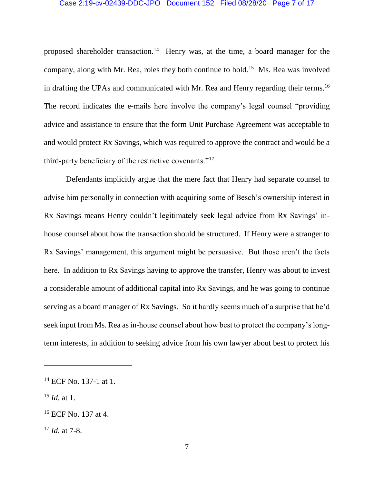## Case 2:19-cv-02439-DDC-JPO Document 152 Filed 08/28/20 Page 7 of 17

proposed shareholder transaction.<sup>14</sup> Henry was, at the time, a board manager for the company, along with Mr. Rea, roles they both continue to hold.<sup>15</sup> Ms. Rea was involved in drafting the UPAs and communicated with Mr. Rea and Henry regarding their terms.<sup>16</sup> The record indicates the e-mails here involve the company's legal counsel "providing advice and assistance to ensure that the form Unit Purchase Agreement was acceptable to and would protect Rx Savings, which was required to approve the contract and would be a third-party beneficiary of the restrictive covenants."<sup>17</sup>

Defendants implicitly argue that the mere fact that Henry had separate counsel to advise him personally in connection with acquiring some of Besch's ownership interest in Rx Savings means Henry couldn't legitimately seek legal advice from Rx Savings' inhouse counsel about how the transaction should be structured. If Henry were a stranger to Rx Savings' management, this argument might be persuasive. But those aren't the facts here. In addition to Rx Savings having to approve the transfer, Henry was about to invest a considerable amount of additional capital into Rx Savings, and he was going to continue serving as a board manager of Rx Savings. So it hardly seems much of a surprise that he'd seek input from Ms. Rea as in-house counsel about how best to protect the company's longterm interests, in addition to seeking advice from his own lawyer about best to protect his

<sup>14</sup> ECF No. 137-1 at 1.

<sup>15</sup> *Id.* at 1.

<sup>16</sup> ECF No. 137 at 4.

<sup>17</sup> *Id.* at 7-8.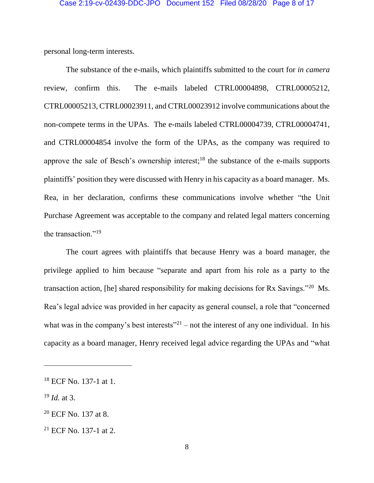personal long-term interests.

The substance of the e-mails, which plaintiffs submitted to the court for *in camera*  review, confirm this. The e-mails labeled CTRL00004898, CTRL00005212, CTRL00005213, CTRL00023911, and CTRL00023912 involve communications about the non-compete terms in the UPAs. The e-mails labeled CTRL00004739, CTRL00004741, and CTRL00004854 involve the form of the UPAs, as the company was required to approve the sale of Besch's ownership interest;<sup>18</sup> the substance of the e-mails supports plaintiffs' position they were discussed with Henry in his capacity as a board manager. Ms. Rea, in her declaration, confirms these communications involve whether "the Unit Purchase Agreement was acceptable to the company and related legal matters concerning the transaction."<sup>19</sup>

The court agrees with plaintiffs that because Henry was a board manager, the privilege applied to him because "separate and apart from his role as a party to the transaction action, [he] shared responsibility for making decisions for Rx Savings."<sup>20</sup> Ms. Rea's legal advice was provided in her capacity as general counsel, a role that "concerned what was in the company's best interests $"^{21}$  – not the interest of any one individual. In his capacity as a board manager, Henry received legal advice regarding the UPAs and "what

<sup>19</sup> *Id.* at 3.

<sup>18</sup> ECF No. 137-1 at 1.

<sup>20</sup> ECF No. 137 at 8.

<sup>21</sup> ECF No. 137-1 at 2.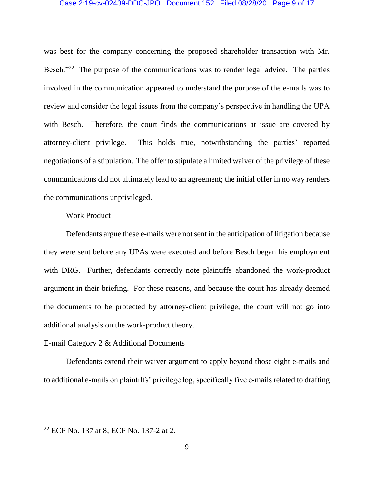#### Case 2:19-cv-02439-DDC-JPO Document 152 Filed 08/28/20 Page 9 of 17

was best for the company concerning the proposed shareholder transaction with Mr. Besch."<sup>22</sup> The purpose of the communications was to render legal advice. The parties involved in the communication appeared to understand the purpose of the e-mails was to review and consider the legal issues from the company's perspective in handling the UPA with Besch. Therefore, the court finds the communications at issue are covered by attorney-client privilege. This holds true, notwithstanding the parties' reported negotiations of a stipulation. The offer to stipulate a limited waiver of the privilege of these communications did not ultimately lead to an agreement; the initial offer in no way renders the communications unprivileged.

### Work Product

Defendants argue these e-mails were not sent in the anticipation of litigation because they were sent before any UPAs were executed and before Besch began his employment with DRG. Further, defendants correctly note plaintiffs abandoned the work-product argument in their briefing. For these reasons, and because the court has already deemed the documents to be protected by attorney-client privilege, the court will not go into additional analysis on the work-product theory.

### E-mail Category 2 & Additional Documents

Defendants extend their waiver argument to apply beyond those eight e-mails and to additional e-mails on plaintiffs' privilege log, specifically five e-mails related to drafting

<sup>22</sup> ECF No. 137 at 8; ECF No. 137-2 at 2.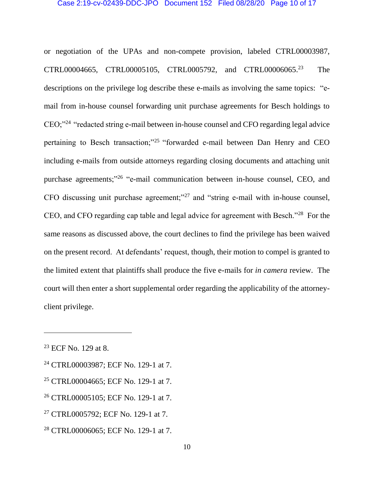### Case 2:19-cv-02439-DDC-JPO Document 152 Filed 08/28/20 Page 10 of 17

or negotiation of the UPAs and non-compete provision, labeled CTRL00003987, CTRL00004665, CTRL00005105, CTRL0005792, and CTRL00006065.<sup>23</sup> The descriptions on the privilege log describe these e-mails as involving the same topics: "email from in-house counsel forwarding unit purchase agreements for Besch holdings to CEO;"<sup>24</sup> "redacted string e-mail between in-house counsel and CFO regarding legal advice pertaining to Besch transaction;"<sup>25</sup> "forwarded e-mail between Dan Henry and CEO including e-mails from outside attorneys regarding closing documents and attaching unit purchase agreements;"<sup>26</sup> "e-mail communication between in-house counsel, CEO, and CFO discussing unit purchase agreement;"<sup>27</sup> and "string e-mail with in-house counsel, CEO, and CFO regarding cap table and legal advice for agreement with Besch."<sup>28</sup> For the same reasons as discussed above, the court declines to find the privilege has been waived on the present record. At defendants' request, though, their motion to compel is granted to the limited extent that plaintiffs shall produce the five e-mails for *in camera* review. The court will then enter a short supplemental order regarding the applicability of the attorneyclient privilege.

- <sup>24</sup> CTRL00003987; ECF No. 129-1 at 7.
- <sup>25</sup> CTRL00004665; ECF No. 129-1 at 7.
- <sup>26</sup> CTRL00005105; ECF No. 129-1 at 7.
- <sup>27</sup> CTRL0005792; ECF No. 129-1 at 7.
- <sup>28</sup> CTRL00006065; ECF No. 129-1 at 7.

<sup>23</sup> ECF No. 129 at 8.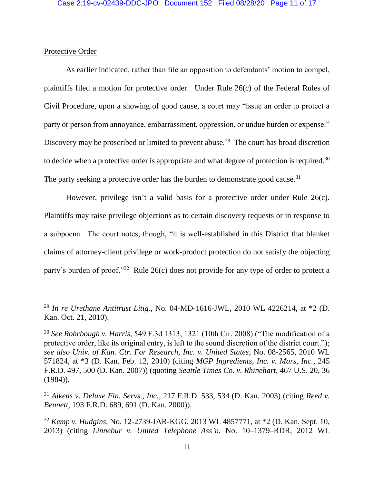# Protective Order

 $\overline{a}$ 

As earlier indicated, rather than file an opposition to defendants' motion to compel, plaintiffs filed a motion for protective order. Under Rule 26(c) of the Federal Rules of Civil Procedure, upon a showing of good cause, a court may "issue an order to protect a party or person from annoyance, embarrassment, oppression, or undue burden or expense." Discovery may be proscribed or limited to prevent abuse.<sup>29</sup> The court has broad discretion to decide when a protective order is appropriate and what degree of protection is required.<sup>30</sup> The party seeking a protective order has the burden to demonstrate good cause.<sup>31</sup>

However, privilege isn't a valid basis for a protective order under Rule 26(c). Plaintiffs may raise privilege objections as to certain discovery requests or in response to a subpoena. The court notes, though, "it is well-established in this District that blanket claims of attorney-client privilege or work-product protection do not satisfy the objecting party's burden of proof."<sup>32</sup> Rule 26(c) does not provide for any type of order to protect a

<sup>29</sup> *In re Urethane Antitrust Litig.*, No. 04-MD-1616-JWL, 2010 WL 4226214, at \*2 (D. Kan. Oct. 21, 2010).

<sup>30</sup> *See Rohrbough v. Harris*, 549 F.3d 1313, 1321 (10th Cir. 2008) ("The modification of a protective order, like its original entry, is left to the sound discretion of the district court."); *see also Univ. of Kan. Ctr. For Research, Inc. v. United States*, No. 08-2565, 2010 WL 571824, at \*3 (D. Kan. Feb. 12, 2010) (citing *MGP Ingredients, Inc. v. Mars, Inc.*, 245 F.R.D. 497, 500 (D. Kan. 2007)) (quoting *Seattle Times Co. v. Rhinehart*, 467 U.S. 20, 36  $(1984)$ .

<sup>31</sup> *Aikens v. Deluxe Fin. Servs., Inc.*, 217 F.R.D. 533, 534 (D. Kan. 2003) (citing *Reed v. Bennett*, 193 F.R.D. 689, 691 (D. Kan. 2000)).

<sup>32</sup> *Kemp v. Hudgins*, No. 12-2739-JAR-KGG, 2013 WL 4857771, at \*2 (D. Kan. Sept. 10, 2013) (citing *Linnebur v. United Telephone Ass'n*, No. 10–1379–RDR, 2012 WL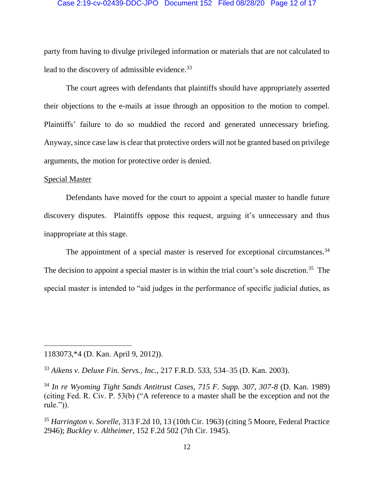## Case 2:19-cv-02439-DDC-JPO Document 152 Filed 08/28/20 Page 12 of 17

party from having to divulge privileged information or materials that are not calculated to lead to the discovery of admissible evidence.<sup>33</sup>

The court agrees with defendants that plaintiffs should have appropriately asserted their objections to the e-mails at issue through an opposition to the motion to compel. Plaintiffs' failure to do so muddied the record and generated unnecessary briefing. Anyway, since case law is clear that protective orders will not be granted based on privilege arguments, the motion for protective order is denied.

# Special Master

 $\overline{a}$ 

Defendants have moved for the court to appoint a special master to handle future discovery disputes. Plaintiffs oppose this request, arguing it's unnecessary and thus inappropriate at this stage.

The appointment of a special master is reserved for exceptional circumstances.<sup>34</sup> The decision to appoint a special master is in within the trial court's sole discretion.<sup>35</sup> The special master is intended to "aid judges in the performance of specific judicial duties, as

1183073,\*4 (D. Kan. April 9, 2012)).

<sup>33</sup> *Aikens v. Deluxe Fin. Servs., Inc.*, 217 F.R.D. 533, 534–35 (D. Kan. 2003).

<sup>34</sup> *In re Wyoming Tight Sands Antitrust Cases, 715 F. Supp. 307, 307-8* (D. Kan. 1989) (citing Fed. R. Civ. P. 53(b) ("A reference to a master shall be the exception and not the rule.")).

<sup>35</sup> *Harrington v. Sorelle*, 313 F.2d 10, 13 (10th Cir. 1963) (citing 5 Moore, Federal Practice 2946); *Buckley v. Altheimer*, 152 F.2d 502 (7th Cir. 1945).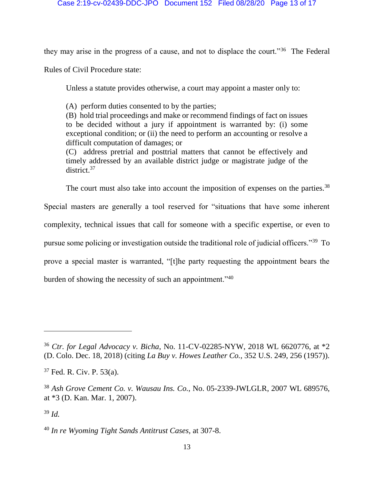they may arise in the progress of a cause, and not to displace the court."<sup>36</sup> The Federal Rules of Civil Procedure state:

Unless a statute provides otherwise, a court may appoint a master only to:

(A) perform duties consented to by the parties;

(B) hold trial proceedings and make or recommend findings of fact on issues to be decided without a jury if appointment is warranted by: (i) some exceptional condition; or (ii) the need to perform an accounting or resolve a difficult computation of damages; or

(C) address pretrial and posttrial matters that cannot be effectively and timely addressed by an available district judge or magistrate judge of the district.<sup>37</sup>

The court must also take into account the imposition of expenses on the parties.<sup>38</sup> Special masters are generally a tool reserved for "situations that have some inherent complexity, technical issues that call for someone with a specific expertise, or even to pursue some policing or investigation outside the traditional role of judicial officers."<sup>39</sup> To prove a special master is warranted, "[t]he party requesting the appointment bears the burden of showing the necessity of such an appointment."<sup>40</sup>

<sup>39</sup> *Id.*

<sup>36</sup> *Ctr. for Legal Advocacy v. Bicha*, No. 11-CV-02285-NYW, 2018 WL 6620776, at \*2 (D. Colo. Dec. 18, 2018) (citing *La Buy v. Howes Leather Co.*, 352 U.S. 249, 256 (1957)).

<sup>37</sup> Fed. R. Civ. P. 53(a).

<sup>38</sup> *Ash Grove Cement Co. v. Wausau Ins. Co.*, No. 05-2339-JWLGLR, 2007 WL 689576, at \*3 (D. Kan. Mar. 1, 2007).

<sup>40</sup> *In re Wyoming Tight Sands Antitrust Cases,* at 307-8.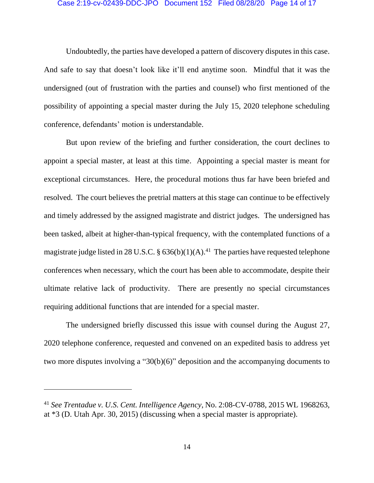#### Case 2:19-cv-02439-DDC-JPO Document 152 Filed 08/28/20 Page 14 of 17

Undoubtedly, the parties have developed a pattern of discovery disputes in this case. And safe to say that doesn't look like it'll end anytime soon. Mindful that it was the undersigned (out of frustration with the parties and counsel) who first mentioned of the possibility of appointing a special master during the July 15, 2020 telephone scheduling conference, defendants' motion is understandable.

But upon review of the briefing and further consideration, the court declines to appoint a special master, at least at this time. Appointing a special master is meant for exceptional circumstances. Here, the procedural motions thus far have been briefed and resolved. The court believes the pretrial matters at this stage can continue to be effectively and timely addressed by the assigned magistrate and district judges. The undersigned has been tasked, albeit at higher-than-typical frequency, with the contemplated functions of a magistrate judge listed in 28 U.S.C.  $\S 636(b)(1)(A).$ <sup>41</sup> The parties have requested telephone conferences when necessary, which the court has been able to accommodate, despite their ultimate relative lack of productivity. There are presently no special circumstances requiring additional functions that are intended for a special master.

The undersigned briefly discussed this issue with counsel during the August 27, 2020 telephone conference, requested and convened on an expedited basis to address yet two more disputes involving a "30(b)(6)" deposition and the accompanying documents to

<sup>41</sup> *See Trentadue v. U.S. Cent. Intelligence Agency*, No. 2:08-CV-0788, 2015 WL 1968263, at \*3 (D. Utah Apr. 30, 2015) (discussing when a special master is appropriate).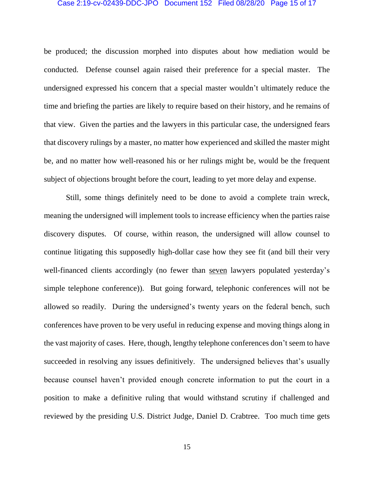#### Case 2:19-cv-02439-DDC-JPO Document 152 Filed 08/28/20 Page 15 of 17

be produced; the discussion morphed into disputes about how mediation would be conducted. Defense counsel again raised their preference for a special master. The undersigned expressed his concern that a special master wouldn't ultimately reduce the time and briefing the parties are likely to require based on their history, and he remains of that view. Given the parties and the lawyers in this particular case, the undersigned fears that discovery rulings by a master, no matter how experienced and skilled the master might be, and no matter how well-reasoned his or her rulings might be, would be the frequent subject of objections brought before the court, leading to yet more delay and expense.

Still, some things definitely need to be done to avoid a complete train wreck, meaning the undersigned will implement tools to increase efficiency when the parties raise discovery disputes. Of course, within reason, the undersigned will allow counsel to continue litigating this supposedly high-dollar case how they see fit (and bill their very well-financed clients accordingly (no fewer than seven lawyers populated yesterday's simple telephone conference)). But going forward, telephonic conferences will not be allowed so readily. During the undersigned's twenty years on the federal bench, such conferences have proven to be very useful in reducing expense and moving things along in the vast majority of cases. Here, though, lengthy telephone conferences don't seem to have succeeded in resolving any issues definitively. The undersigned believes that's usually because counsel haven't provided enough concrete information to put the court in a position to make a definitive ruling that would withstand scrutiny if challenged and reviewed by the presiding U.S. District Judge, Daniel D. Crabtree. Too much time gets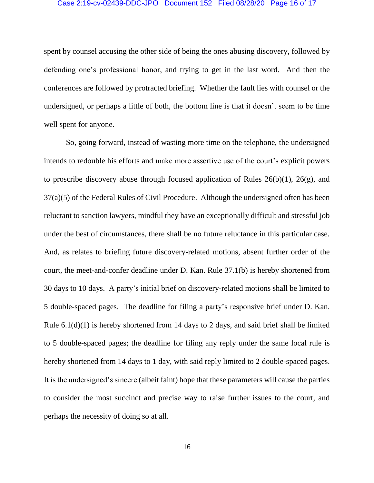#### Case 2:19-cv-02439-DDC-JPO Document 152 Filed 08/28/20 Page 16 of 17

spent by counsel accusing the other side of being the ones abusing discovery, followed by defending one's professional honor, and trying to get in the last word. And then the conferences are followed by protracted briefing. Whether the fault lies with counsel or the undersigned, or perhaps a little of both, the bottom line is that it doesn't seem to be time well spent for anyone.

So, going forward, instead of wasting more time on the telephone, the undersigned intends to redouble his efforts and make more assertive use of the court's explicit powers to proscribe discovery abuse through focused application of Rules  $26(b)(1)$ ,  $26(g)$ , and 37(a)(5) of the Federal Rules of Civil Procedure. Although the undersigned often has been reluctant to sanction lawyers, mindful they have an exceptionally difficult and stressful job under the best of circumstances, there shall be no future reluctance in this particular case. And, as relates to briefing future discovery-related motions, absent further order of the court, the meet-and-confer deadline under D. Kan. Rule 37.1(b) is hereby shortened from 30 days to 10 days. A party's initial brief on discovery-related motions shall be limited to 5 double-spaced pages. The deadline for filing a party's responsive brief under D. Kan. Rule 6.1(d)(1) is hereby shortened from 14 days to 2 days, and said brief shall be limited to 5 double-spaced pages; the deadline for filing any reply under the same local rule is hereby shortened from 14 days to 1 day, with said reply limited to 2 double-spaced pages. It is the undersigned's sincere (albeit faint) hope that these parameters will cause the parties to consider the most succinct and precise way to raise further issues to the court, and perhaps the necessity of doing so at all.